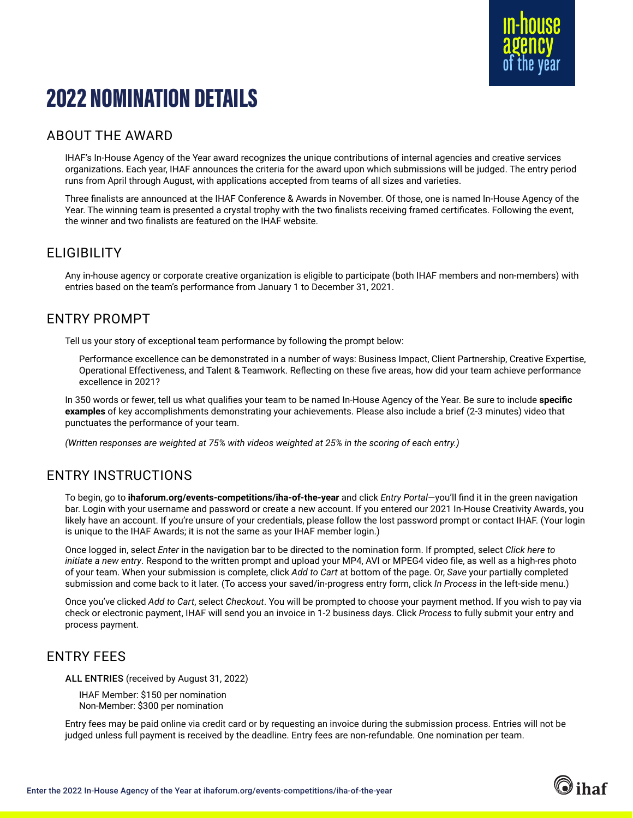

# 2022 NOMINATION DETAILS

## ABOUT THE AWARD

IHAF's In-House Agency of the Year award recognizes the unique contributions of internal agencies and creative services organizations. Each year, IHAF announces the criteria for the award upon which submissions will be judged. The entry period runs from April through August, with applications accepted from teams of all sizes and varieties.

Three finalists are announced at the IHAF Conference & Awards in November. Of those, one is named In-House Agency of the Year. The winning team is presented a crystal trophy with the two finalists receiving framed certificates. Following the event, the winner and two finalists are featured on the IHAF website.

## ELIGIBILITY

Any in-house agency or corporate creative organization is eligible to participate (both IHAF members and non-members) with entries based on the team's performance from January 1 to December 31, 2021.

## ENTRY PROMPT

Tell us your story of exceptional team performance by following the prompt below:

Performance excellence can be demonstrated in a number of ways: Business Impact, Client Partnership, Creative Expertise, Operational Effectiveness, and Talent & Teamwork. Reflecting on these five areas, how did your team achieve performance excellence in 2021?

In 350 words or fewer, tell us what qualifies your team to be named In-House Agency of the Year. Be sure to include **specific examples** of key accomplishments demonstrating your achievements. Please also include a brief (2-3 minutes) video that punctuates the performance of your team.

*(Written responses are weighted at 75% with videos weighted at 25% in the scoring of each entry.)*

## ENTRY INSTRUCTIONS

To begin, go to **[ihaforum.org/events-competitions/iha-of-the-year](http://www.ihaforum.org/events-competitions/iha-of-the-year )** and click *Entry Portal*—you'll find it in the green navigation bar. Login with your username and password or create a new account. If you entered our 2021 In-House Creativity Awards, you likely have an account. If you're unsure of your credentials, please follow the lost password prompt or contact IHAF. (Your login is unique to the IHAF Awards; it is not the same as your IHAF member login.)

Once logged in, select *Enter* in the navigation bar to be directed to the nomination form. If prompted, select *Click here to initiate a new entry*. Respond to the written prompt and upload your MP4, AVI or MPEG4 video file, as well as a high-res photo of your team. When your submission is complete, click *Add to Cart* at bottom of the page. Or, *Save* your partially completed submission and come back to it later. (To access your saved/in-progress entry form, click *In Process* in the left-side menu.)

Once you've clicked *Add to Cart*, select *Checkout*. You will be prompted to choose your payment method. If you wish to pay via check or electronic payment, IHAF will send you an invoice in 1-2 business days. Click *Process* to fully submit your entry and process payment.

### ENTRY FEES

ALL ENTRIES (received by August 31, 2022)

IHAF Member: \$150 per nomination Non-Member: \$300 per nomination

Entry fees may be paid online via credit card or by requesting an invoice during the submission process. Entries will not be judged unless full payment is received by the deadline. Entry fees are non-refundable. One nomination per team.